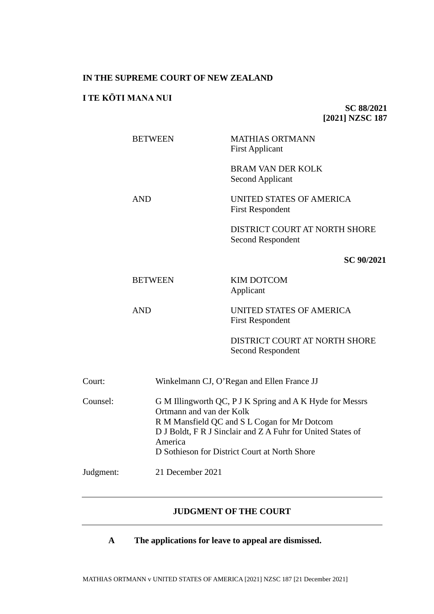#### **IN THE SUPREME COURT OF NEW ZEALAND**

# **I TE KŌTI MANA NUI**

**SC 88/2021 [2021] NZSC 187**

BETWEEN MATHIAS ORTMANN First Applicant

> BRAM VAN DER KOLK Second Applicant

AND UNITED STATES OF AMERICA First Respondent

> DISTRICT COURT AT NORTH SHORE Second Respondent

> > **SC 90/2021**

BETWEEN KIM DOTCOM Applicant

AND UNITED STATES OF AMERICA First Respondent

> DISTRICT COURT AT NORTH SHORE Second Respondent

| Court:    | Winkelmann CJ, O'Regan and Ellen France JJ                                                                                                                                                                                                                      |
|-----------|-----------------------------------------------------------------------------------------------------------------------------------------------------------------------------------------------------------------------------------------------------------------|
| Counsel:  | G M Illingworth QC, P J K Spring and A K Hyde for Messrs<br>Ortmann and van der Kolk<br>R M Mansfield QC and S L Cogan for Mr Dotcom<br>D J Boldt, F R J Sinclair and Z A Fuhr for United States of<br>America<br>D Sothieson for District Court at North Shore |
| Judgment: | 21 December 2021                                                                                                                                                                                                                                                |

## **JUDGMENT OF THE COURT**

**A The applications for leave to appeal are dismissed.**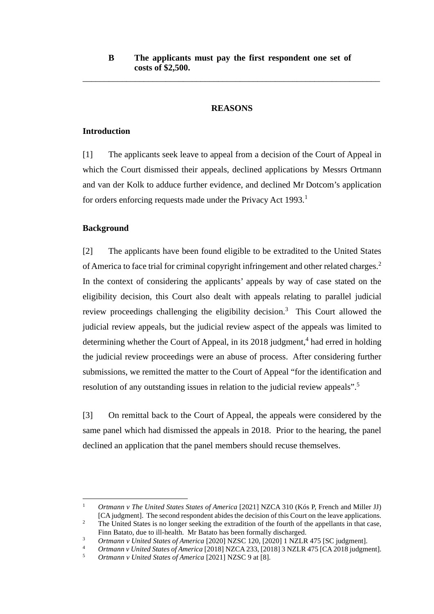\_\_\_\_\_\_\_\_\_\_\_\_\_\_\_\_\_\_\_\_\_\_\_\_\_\_\_\_\_\_\_\_\_\_\_\_\_\_\_\_\_\_\_\_\_\_\_\_\_\_\_\_\_\_\_\_\_\_\_\_\_\_\_\_\_\_\_\_

## <span id="page-1-2"></span><span id="page-1-0"></span>**REASONS**

## **Introduction**

[1] The applicants seek leave to appeal from a decision of the Court of Appeal in which the Court dismissed their appeals, declined applications by Messrs Ortmann and van der Kolk to adduce further evidence, and declined Mr Dotcom's application for orders enforcing requests made under the Privacy Act 1993.<sup>1</sup>

## **Background**

<span id="page-1-3"></span>[2] The applicants have been found eligible to be extradited to the United States of America to face trial for criminal copyright infringement and other related charges.<sup>2</sup> In the context of considering the applicants' appeals by way of case stated on the eligibility decision, this Court also dealt with appeals relating to parallel judicial review proceedings challenging the eligibility decision. $3$  This Court allowed the judicial review appeals, but the judicial review aspect of the appeals was limited to determining whether the Court of Appeal, in its 2018 judgment,<sup>4</sup> had erred in holding the judicial review proceedings were an abuse of process. After considering further submissions, we remitted the matter to the Court of Appeal "for the identification and resolution of any outstanding issues in relation to the judicial review appeals".<sup>5</sup>

<span id="page-1-1"></span>[3] On remittal back to the Court of Appeal, the appeals were considered by the same panel which had dismissed the appeals in 2018. Prior to the hearing, the panel declined an application that the panel members should recuse themselves.

<sup>1</sup> *Ortmann v The United States States of America* [2021] NZCA 310 (Kós P, French and Miller JJ) [CA judgment]. The second respondent abides the decision of this Court on the leave applications.

<sup>&</sup>lt;sup>2</sup> The United States is no longer seeking the extradition of the fourth of the appellants in that case, Finn Batato, due to ill-health. Mr Batato has been formally discharged.<br>Ortmann v United States of America [2020] NZSC 120, [2020] 1 NZLR 475 [SC judgment].

<sup>&</sup>lt;sup>3</sup> *Ortmann v United States of America* [2020] NZSC 120, [2020] 1 NZLR 475 [SC judgment].<br><sup>4</sup> *Ortmann v United States of America* [2018] NZCA 233, [2018] 3 NZLR 475 [CA 2018 judgment].<br><sup>5</sup> *Ortmann v United States of Ame* 

<sup>5</sup> *Ortmann v United States of America* [2021] NZSC 9 at [8].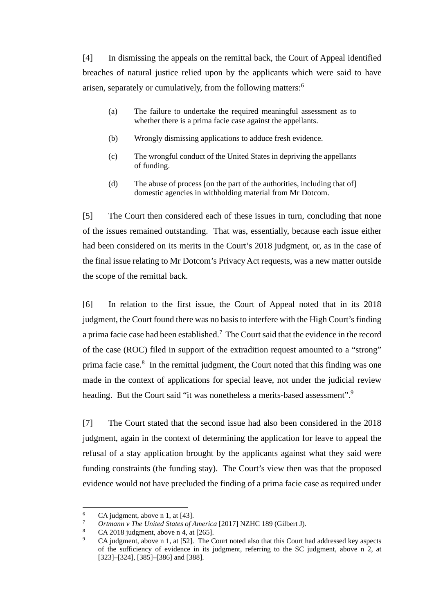[4] In dismissing the appeals on the remittal back, the Court of Appeal identified breaches of natural justice relied upon by the applicants which were said to have arisen, separately or cumulatively, from the following matters:<sup>6</sup>

- (a) The failure to undertake the required meaningful assessment as to whether there is a prima facie case against the appellants.
- (b) Wrongly dismissing applications to adduce fresh evidence.
- (c) The wrongful conduct of the United States in depriving the appellants of funding.
- (d) The abuse of process [on the part of the authorities, including that of] domestic agencies in withholding material from Mr Dotcom.

[5] The Court then considered each of these issues in turn, concluding that none of the issues remained outstanding. That was, essentially, because each issue either had been considered on its merits in the Court's 2018 judgment, or, as in the case of the final issue relating to Mr Dotcom's Privacy Act requests, was a new matter outside the scope of the remittal back.

[6] In relation to the first issue, the Court of Appeal noted that in its 2018 judgment, the Court found there was no basis to interfere with the High Court's finding a prima facie case had been established.<sup>7</sup> The Court said that the evidence in the record of the case (ROC) filed in support of the extradition request amounted to a "strong" prima facie case.<sup>8</sup> In the remittal judgment, the Court noted that this finding was one made in the context of applications for special leave, not under the judicial review heading. But the Court said "it was nonetheless a merits-based assessment".<sup>9</sup>

[7] The Court stated that the second issue had also been considered in the 2018 judgment, again in the context of determining the application for leave to appeal the refusal of a stay application brought by the applicants against what they said were funding constraints (the funding stay). The Court's view then was that the proposed evidence would not have precluded the finding of a prima facie case as required under

<sup>&</sup>lt;sup>6</sup> CA judgment, above n [1,](#page-1-0) at [43].

<sup>7</sup> *Ortmann v The United States of America* [2017] NZHC 189 (Gilbert J).

<sup>8</sup> CA 2018 judgment, above [n 4,](#page-1-1) at [265].

<sup>9</sup> CA judgment, above n [1,](#page-1-0) at [52]. The Court noted also that this Court had addressed key aspects of the sufficiency of evidence in its judgment, referring to the SC judgment, above n [2,](#page-1-2) at [323] – [324], [385] – [386] and [388].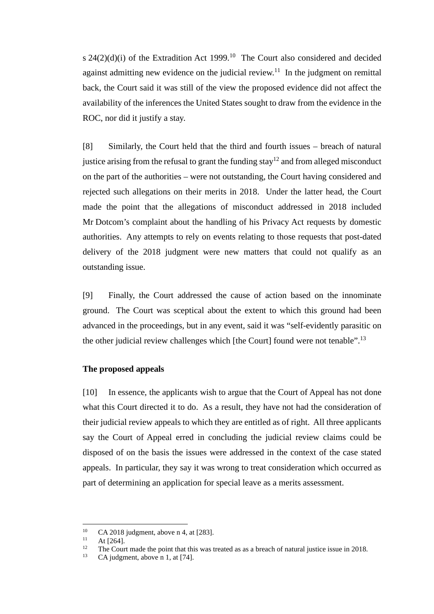s  $24(2)(d)(i)$  of the Extradition Act 1999.<sup>10</sup> The Court also considered and decided against admitting new evidence on the judicial review.<sup>11</sup> In the judgment on remittal back, the Court said it was still of the view the proposed evidence did not affect the availability of the inferences the United States sought to draw from the evidence in the ROC, nor did it justify a stay.

[8] Similarly, the Court held that the third and fourth issues – breach of natural justice arising from the refusal to grant the funding stay<sup>12</sup> and from alleged misconduct on the part of the authorities – were not outstanding, the Court having considered and rejected such allegations on their merits in 2018. Under the latter head, the Court made the point that the allegations of misconduct addressed in 2018 included Mr Dotcom's complaint about the handling of his Privacy Act requests by domestic authorities. Any attempts to rely on events relating to those requests that post-dated delivery of the 2018 judgment were new matters that could not qualify as an outstanding issue.

[9] Finally, the Court addressed the cause of action based on the innominate ground. The Court was sceptical about the extent to which this ground had been advanced in the proceedings, but in any event, said it was "self-evidently parasitic on the other judicial review challenges which [the Court] found were not tenable".<sup>13</sup>

#### **The proposed appeals**

[10] In essence, the applicants wish to argue that the Court of Appeal has not done what this Court directed it to do. As a result, they have not had the consideration of their judicial review appeals to which they are entitled as of right. All three applicants say the Court of Appeal erred in concluding the judicial review claims could be disposed of on the basis the issues were addressed in the context of the case stated appeals. In particular, they say it was wrong to treat consideration which occurred as part of determining an application for special leave as a merits assessment.

<sup>&</sup>lt;sup>10</sup> CA 2018 judgment, above [n 4,](#page-1-1) at [283].<br><sup>11</sup> At [264].<br><sup>12</sup> The Court made the point that this was t

<sup>&</sup>lt;sup>12</sup> The Court made the point that this was treated as as a breach of natural justice issue in 2018.<br>
<sup>13</sup> CA judgment, above n 1 at  $[741]$ 

CA judgment, above n [1,](#page-1-0) at  $[74]$ .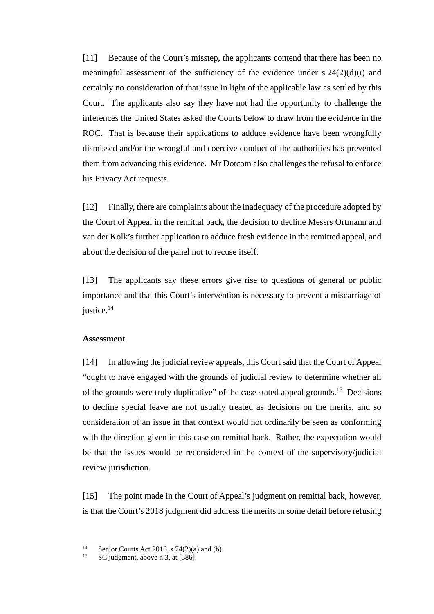[11] Because of the Court's misstep, the applicants contend that there has been no meaningful assessment of the sufficiency of the evidence under  $s \frac{24(2)(d)(i)}{2}$  and certainly no consideration of that issue in light of the applicable law as settled by this Court. The applicants also say they have not had the opportunity to challenge the inferences the United States asked the Courts below to draw from the evidence in the ROC. That is because their applications to adduce evidence have been wrongfully dismissed and/or the wrongful and coercive conduct of the authorities has prevented them from advancing this evidence. Mr Dotcom also challenges the refusal to enforce his Privacy Act requests.

[12] Finally, there are complaints about the inadequacy of the procedure adopted by the Court of Appeal in the remittal back, the decision to decline Messrs Ortmann and van der Kolk's further application to adduce fresh evidence in the remitted appeal, and about the decision of the panel not to recuse itself.

[13] The applicants say these errors give rise to questions of general or public importance and that this Court's intervention is necessary to prevent a miscarriage of justice.<sup>14</sup>

#### **Assessment**

[14] In allowing the judicial review appeals, this Court said that the Court of Appeal "ought to have engaged with the grounds of judicial review to determine whether all of the grounds were truly duplicative" of the case stated appeal grounds.15 Decisions to decline special leave are not usually treated as decisions on the merits, and so consideration of an issue in that context would not ordinarily be seen as conforming with the direction given in this case on remittal back. Rather, the expectation would be that the issues would be reconsidered in the context of the supervisory/judicial review jurisdiction.

[15] The point made in the Court of Appeal's judgment on remittal back, however, is that the Court's 2018 judgment did address the merits in some detail before refusing

<sup>&</sup>lt;sup>14</sup> Senior Courts Act 2016, s 74(2)(a) and (b).<br><sup>15</sup> SC indemnate above a 2, at  $5861$ 

SC judgment, above n [3,](#page-1-3) at [586].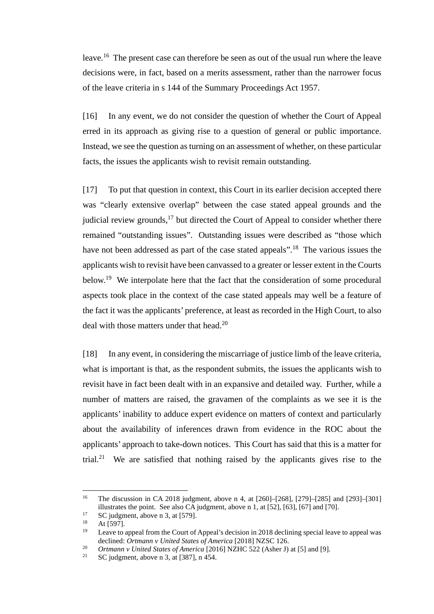leave.<sup>16</sup> The present case can therefore be seen as out of the usual run where the leave decisions were, in fact, based on a merits assessment, rather than the narrower focus of the leave criteria in s 144 of the Summary Proceedings Act 1957.

[16] In any event, we do not consider the question of whether the Court of Appeal erred in its approach as giving rise to a question of general or public importance. Instead, we see the question as turning on an assessment of whether, on these particular facts, the issues the applicants wish to revisit remain outstanding.

[17] To put that question in context, this Court in its earlier decision accepted there was "clearly extensive overlap" between the case stated appeal grounds and the judicial review grounds, $^{17}$  but directed the Court of Appeal to consider whether there remained "outstanding issues". Outstanding issues were described as "those which have not been addressed as part of the case stated appeals".<sup>18</sup> The various issues the applicants wish to revisit have been canvassed to a greater or lesser extent in the Courts below.<sup>19</sup> We interpolate here that the fact that the consideration of some procedural aspects took place in the context of the case stated appeals may well be a feature of the fact it was the applicants' preference, at least as recorded in the High Court, to also deal with those matters under that head.<sup>20</sup>

[18] In any event, in considering the miscarriage of justice limb of the leave criteria, what is important is that, as the respondent submits, the issues the applicants wish to revisit have in fact been dealt with in an expansive and detailed way. Further, while a number of matters are raised, the gravamen of the complaints as we see it is the applicants' inability to adduce expert evidence on matters of context and particularly about the availability of inferences drawn from evidence in the ROC about the applicants' approach to take-down notices. This Court has said that this is a matter for trial.21 We are satisfied that nothing raised by the applicants gives rise to the

<sup>16</sup> The discussion in CA 2018 judgment, above n [4,](#page-1-1) at [260]–[268], [279]–[285] and [293]–[301] illustrates the point. See also CA judgment, above n [1,](#page-1-0) at [52], [63], [67] and [70].

<sup>&</sup>lt;sup>17</sup> SC judgment, above n [3,](#page-1-3) at [579].<br>
<sup>18</sup> At [597].<br> **19** Louve to appeal from the Court of

Leave to appeal from the Court of Appeal's decision in 2018 declining special leave to appeal was declined: *Ortmann v United States of America* [2018] NZSC 126.

<sup>&</sup>lt;sup>20</sup> *Ortmann v United States of America* [2016] NZHC 522 (Asher J) at [5] and [9].<br><sup>21</sup> SC judgment, above n [3,](#page-1-3) at [387], n 454.